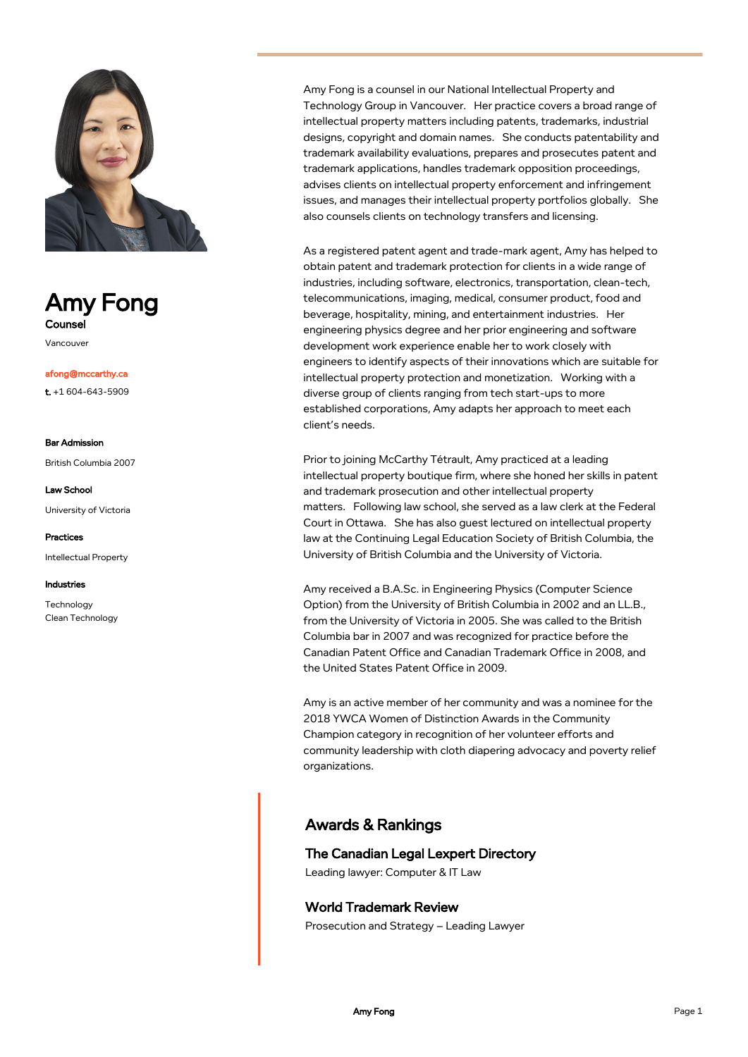

# Amy Fong **Counse**

Vancouver

afong@mccarthy.ca

t. +1 604-643-5909

#### Bar Admission

British Columbia 2007

Law School

University of Victoria

Practices Intellectual Property

Industries

Technology Clean Technology Amy Fong is a counsel in our National Intellectual Property and Technology Group in Vancouver. Her practice covers a broad range of intellectual property matters including patents, trademarks, industrial designs, copyright and domain names. She conducts patentability and trademark availability evaluations, prepares and prosecutes patent and trademark applications, handles trademark opposition proceedings, advises clients on intellectual property enforcement and infringement issues, and manages their intellectual property portfolios globally. She also counsels clients on technology transfers and licensing.

As a registered patent agent and trade-mark agent, Amy has helped to obtain patent and trademark protection for clients in a wide range of industries, including software, electronics, transportation, clean-tech, telecommunications, imaging, medical, consumer product, food and beverage, hospitality, mining, and entertainment industries. Her engineering physics degree and her prior engineering and software development work experience enable her to work closely with engineers to identify aspects of their innovations which are suitable for intellectual property protection and monetization. Working with a diverse group of clients ranging from tech start-ups to more established corporations, Amy adapts her approach to meet each client's needs.

Prior to joining McCarthy Tétrault, Amy practiced at a leading intellectual property boutique firm, where she honed her skills in patent and trademark prosecution and other intellectual property matters. Following law school, she served as a law clerk at the Federal Court in Ottawa. She has also guest lectured on intellectual property law at the Continuing Legal Education Society of British Columbia, the University of British Columbia and the University of Victoria.

Amy received a B.A.Sc. in Engineering Physics (Computer Science Option) from the University of British Columbia in 2002 and an LL.B., from the University of Victoria in 2005. She was called to the British Columbia bar in 2007 and was recognized for practice before the Canadian Patent Office and Canadian Trademark Office in 2008, and the United States Patent Office in 2009.

Amy is an active member of her community and was a nominee for the 2018 YWCA Women of Distinction Awards in the Community Champion category in recognition of her volunteer efforts and community leadership with cloth diapering advocacy and poverty relief organizations.

## Awards & Rankings

## The Canadian Legal Lexpert Directory

Leading lawyer: Computer & IT Law

### World Trademark Review

Prosecution and Strategy – Leading Lawyer